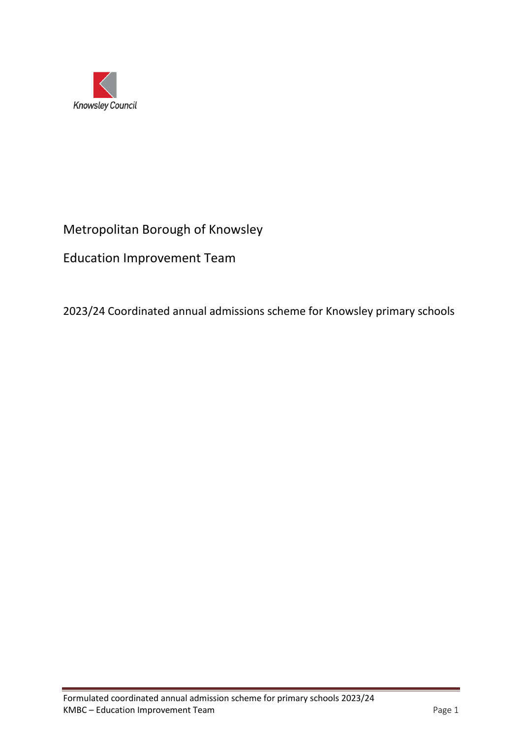

# Metropolitan Borough of Knowsley

Education Improvement Team

2023/24 Coordinated annual admissions scheme for Knowsley primary schools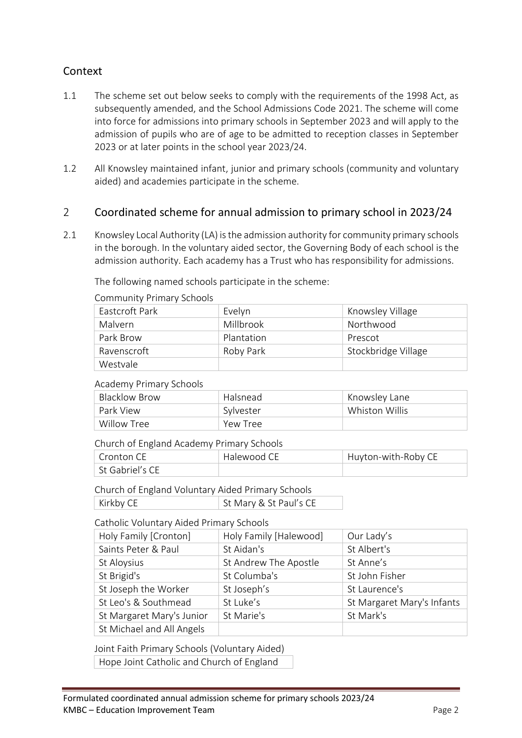### Context

- 1.1 The scheme set out below seeks to comply with the requirements of the 1998 Act, as subsequently amended, and the School Admissions Code 2021. The scheme will come into force for admissions into primary schools in September 2023 and will apply to the admission of pupils who are of age to be admitted to reception classes in September 2023 or at later points in the school year 2023/24.
- 1.2 All Knowsley maintained infant, junior and primary schools (community and voluntary aided) and academies participate in the scheme.

### 2 Coordinated scheme for annual admission to primary school in 2023/24

2.1 Knowsley Local Authority (LA) is the admission authority for community primary schools in the borough. In the voluntary aided sector, the Governing Body of each school is the admission authority. Each academy has a Trust who has responsibility for admissions.

The following named schools participate in the scheme:

| Eastcroft Park | Evelyn     | Knowsley Village    |
|----------------|------------|---------------------|
| Malvern        | Millbrook  | Northwood           |
| Park Brow      | Plantation | Prescot             |
| Ravenscroft    | Roby Park  | Stockbridge Village |
| Westvale       |            |                     |

Community Primary Schools

#### Academy Primary Schools

| <b>Blacklow Brow</b> | Halsnead  | Knowsley Lane  |
|----------------------|-----------|----------------|
| Park View            | Sylvester | Whiston Willis |
| Willow Tree          | Yew Tree  |                |

#### Church of England Academy Primary Schools

| ∣ Cronton CE    | Halewood CE | Huyton-with-Roby CE |
|-----------------|-------------|---------------------|
| St Gabriel's CE |             |                     |

Church of England Voluntary Aided Primary Schools Kirkby CE St Mary & St Paul's CE

#### Catholic Voluntary Aided Primary Schools

| Holy Family [Cronton]     | Holy Family [Halewood] | Our Lady's                 |
|---------------------------|------------------------|----------------------------|
| Saints Peter & Paul       | St Aidan's             | St Albert's                |
| St Aloysius               | St Andrew The Apostle  | St Anne's                  |
| St Brigid's               | St Columba's           | St John Fisher             |
| St Joseph the Worker      | St Joseph's            | St Laurence's              |
| St Leo's & Southmead      | St Luke's              | St Margaret Mary's Infants |
| St Margaret Mary's Junior | St Marie's             | St Mark's                  |
| St Michael and All Angels |                        |                            |

Joint Faith Primary Schools (Voluntary Aided) Hope Joint Catholic and Church of England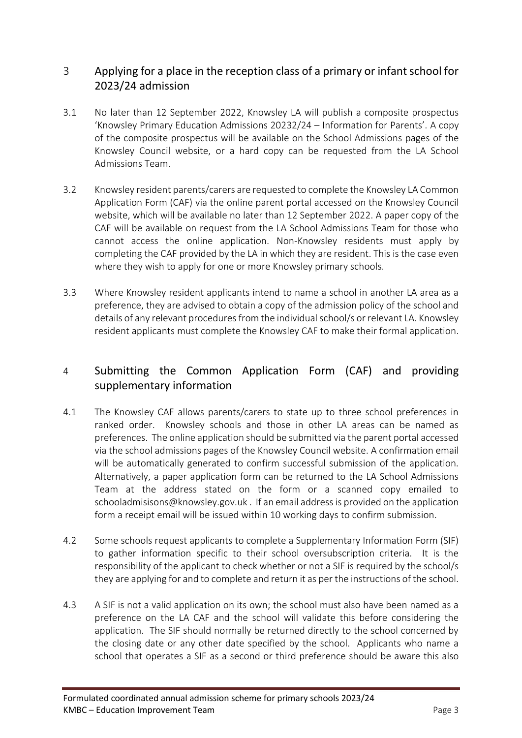### 3 Applying for a place in the reception class of a primary or infant school for 2023/24 admission

- 3.1 No later than 12 September 2022, Knowsley LA will publish a composite prospectus 'Knowsley Primary Education Admissions 20232/24 – Information for Parents'. A copy of the composite prospectus will be available on the School Admissions pages of the Knowsley Council website, or a hard copy can be requested from the LA School Admissions Team.
- 3.2 Knowsley resident parents/carers are requested to complete the Knowsley LA Common Application Form (CAF) via the online parent portal accessed on the Knowsley Council website, which will be available no later than 12 September 2022. A paper copy of the CAF will be available on request from the LA School Admissions Team for those who cannot access the online application. Non-Knowsley residents must apply by completing the CAF provided by the LA in which they are resident. This is the case even where they wish to apply for one or more Knowsley primary schools.
- 3.3 Where Knowsley resident applicants intend to name a school in another LA area as a preference, they are advised to obtain a copy of the admission policy of the school and details of any relevant procedures from the individual school/s or relevant LA. Knowsley resident applicants must complete the Knowsley CAF to make their formal application.

### 4 Submitting the Common Application Form (CAF) and providing supplementary information

- 4.1 The Knowsley CAF allows parents/carers to state up to three school preferences in ranked order. Knowsley schools and those in other LA areas can be named as preferences. The online application should be submitted via the parent portal accessed via the school admissions pages of the Knowsley Council website. A confirmation email will be automatically generated to confirm successful submission of the application. Alternatively, a paper application form can be returned to the LA School Admissions Team at the address stated on the form or a scanned copy emailed to [schooladmisisons@knowsley.gov.uk](mailto:schooladmisisons@knowsley.gov.uk) . If an email address is provided on the application form a receipt email will be issued within 10 working days to confirm submission.
- 4.2 Some schools request applicants to complete a Supplementary Information Form (SIF) to gather information specific to their school oversubscription criteria. It is the responsibility of the applicant to check whether or not a SIF is required by the school/s they are applying for and to complete and return it as per the instructions of the school.
- 4.3 A SIF is not a valid application on its own; the school must also have been named as a preference on the LA CAF and the school will validate this before considering the application. The SIF should normally be returned directly to the school concerned by the closing date or any other date specified by the school. Applicants who name a school that operates a SIF as a second or third preference should be aware this also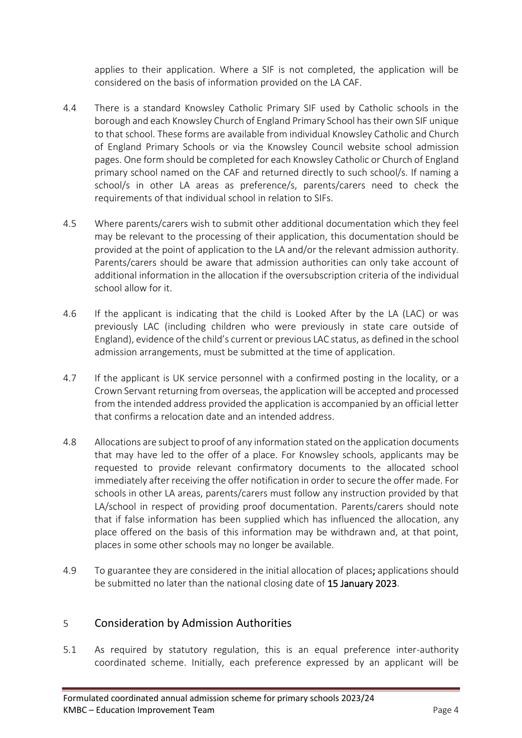applies to their application. Where a SIF is not completed, the application will be considered on the basis of information provided on the LA CAF.

- 4.4 There is a standard Knowsley Catholic Primary SIF used by Catholic schools in the borough and each Knowsley Church of England Primary School has their own SIF unique to that school. These forms are available from individual Knowsley Catholic and Church of England Primary Schools or via the Knowsley Council website school admission pages. One form should be completed for each Knowsley Catholic or Church of England primary school named on the CAF and returned directly to such school/s. If naming a school/s in other LA areas as preference/s, parents/carers need to check the requirements of that individual school in relation to SIFs.
- 4.5 Where parents/carers wish to submit other additional documentation which they feel may be relevant to the processing of their application, this documentation should be provided at the point of application to the LA and/or the relevant admission authority. Parents/carers should be aware that admission authorities can only take account of additional information in the allocation if the oversubscription criteria of the individual school allow for it.
- 4.6 If the applicant is indicating that the child is Looked After by the LA (LAC) or was previously LAC (including children who were previously in state care outside of England), evidence of the child's current or previous LAC status, as defined in the school admission arrangements, must be submitted at the time of application.
- 4.7 If the applicant is UK service personnel with a confirmed posting in the locality, or a Crown Servant returning from overseas, the application will be accepted and processed from the intended address provided the application is accompanied by an official letter that confirms a relocation date and an intended address.
- 4.8 Allocations are subject to proof of any information stated on the application documents that may have led to the offer of a place. For Knowsley schools, applicants may be requested to provide relevant confirmatory documents to the allocated school immediately after receiving the offer notification in order to secure the offer made. For schools in other LA areas, parents/carers must follow any instruction provided by that LA/school in respect of providing proof documentation. Parents/carers should note that if false information has been supplied which has influenced the allocation, any place offered on the basis of this information may be withdrawn and, at that point, places in some other schools may no longer be available.
- 4.9 To guarantee they are considered in the initial allocation of places; applications should be submitted no later than the national closing date of 15 January 2023.

### 5 Consideration by Admission Authorities

5.1 As required by statutory regulation, this is an equal preference inter-authority coordinated scheme. Initially, each preference expressed by an applicant will be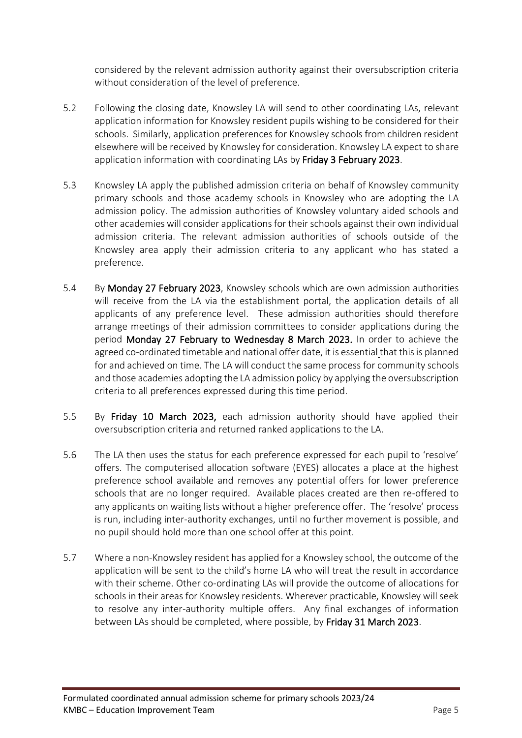considered by the relevant admission authority against their oversubscription criteria without consideration of the level of preference.

- 5.2 Following the closing date, Knowsley LA will send to other coordinating LAs, relevant application information for Knowsley resident pupils wishing to be considered for their schools. Similarly, application preferences for Knowsley schools from children resident elsewhere will be received by Knowsley for consideration. Knowsley LA expect to share application information with coordinating LAs by Friday 3 February 2023.
- 5.3 Knowsley LA apply the published admission criteria on behalf of Knowsley community primary schools and those academy schools in Knowsley who are adopting the LA admission policy. The admission authorities of Knowsley voluntary aided schools and other academies will consider applications for their schools against their own individual admission criteria. The relevant admission authorities of schools outside of the Knowsley area apply their admission criteria to any applicant who has stated a preference.
- 5.4 By Monday 27 February 2023, Knowsley schools which are own admission authorities will receive from the LA via the establishment portal, the application details of all applicants of any preference level. These admission authorities should therefore arrange meetings of their admission committees to consider applications during the period Monday 27 February to Wednesday 8 March 2023. In order to achieve the agreed co-ordinated timetable and national offer date, it is essential that this is planned for and achieved on time. The LA will conduct the same process for community schools and those academies adopting the LA admission policy by applying the oversubscription criteria to all preferences expressed during this time period.
- 5.5 By Friday 10 March 2023, each admission authority should have applied their oversubscription criteria and returned ranked applications to the LA.
- 5.6 The LA then uses the status for each preference expressed for each pupil to 'resolve' offers. The computerised allocation software (EYES) allocates a place at the highest preference school available and removes any potential offers for lower preference schools that are no longer required. Available places created are then re-offered to any applicants on waiting lists without a higher preference offer. The 'resolve' process is run, including inter-authority exchanges, until no further movement is possible, and no pupil should hold more than one school offer at this point.
- 5.7 Where a non-Knowsley resident has applied for a Knowsley school, the outcome of the application will be sent to the child's home LA who will treat the result in accordance with their scheme. Other co-ordinating LAs will provide the outcome of allocations for schools in their areas for Knowsley residents. Wherever practicable, Knowsley will seek to resolve any inter-authority multiple offers. Any final exchanges of information between LAs should be completed, where possible, by Friday 31 March 2023.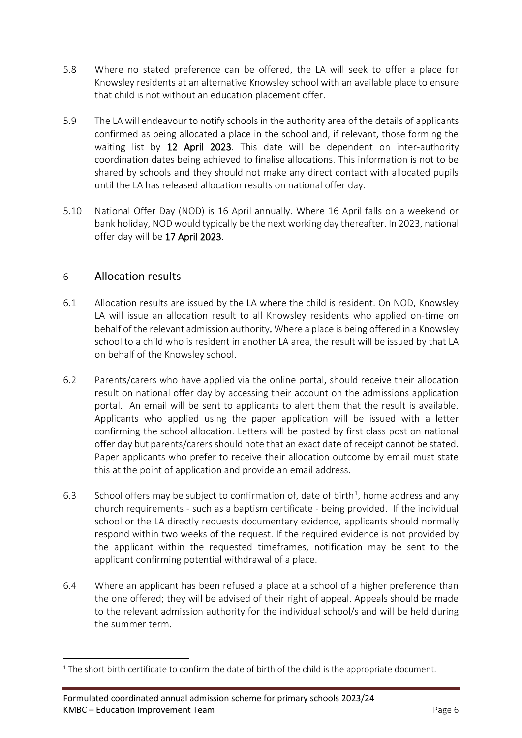- 5.8 Where no stated preference can be offered, the LA will seek to offer a place for Knowsley residents at an alternative Knowsley school with an available place to ensure that child is not without an education placement offer.
- 5.9 The LA will endeavour to notify schools in the authority area of the details of applicants confirmed as being allocated a place in the school and, if relevant, those forming the waiting list by 12 April 2023. This date will be dependent on inter-authority coordination dates being achieved to finalise allocations. This information is not to be shared by schools and they should not make any direct contact with allocated pupils until the LA has released allocation results on national offer day.
- 5.10 National Offer Day (NOD) is 16 April annually. Where 16 April falls on a weekend or bank holiday, NOD would typically be the next working day thereafter. In 2023, national offer day will be 17 April 2023.

### 6 Allocation results

- 6.1 Allocation results are issued by the LA where the child is resident. On NOD, Knowsley LA will issue an allocation result to all Knowsley residents who applied on-time on behalf of the relevant admission authority. Where a place is being offered in a Knowsley school to a child who is resident in another LA area, the result will be issued by that LA on behalf of the Knowsley school.
- 6.2 Parents/carers who have applied via the online portal, should receive their allocation result on national offer day by accessing their account on the admissions application portal. An email will be sent to applicants to alert them that the result is available. Applicants who applied using the paper application will be issued with a letter confirming the school allocation. Letters will be posted by first class post on national offer day but parents/carers should note that an exact date of receipt cannot be stated. Paper applicants who prefer to receive their allocation outcome by email must state this at the point of application and provide an email address.
- 6.3 School offers may be subject to confirmation of, date of birth<sup>1</sup>, home address and any church requirements - such as a baptism certificate - being provided. If the individual school or the LA directly requests documentary evidence, applicants should normally respond within two weeks of the request. If the required evidence is not provided by the applicant within the requested timeframes, notification may be sent to the applicant confirming potential withdrawal of a place.
- 6.4 Where an applicant has been refused a place at a school of a higher preference than the one offered; they will be advised of their right of appeal. Appeals should be made to the relevant admission authority for the individual school/s and will be held during the summer term.

 $1$  The short birth certificate to confirm the date of birth of the child is the appropriate document.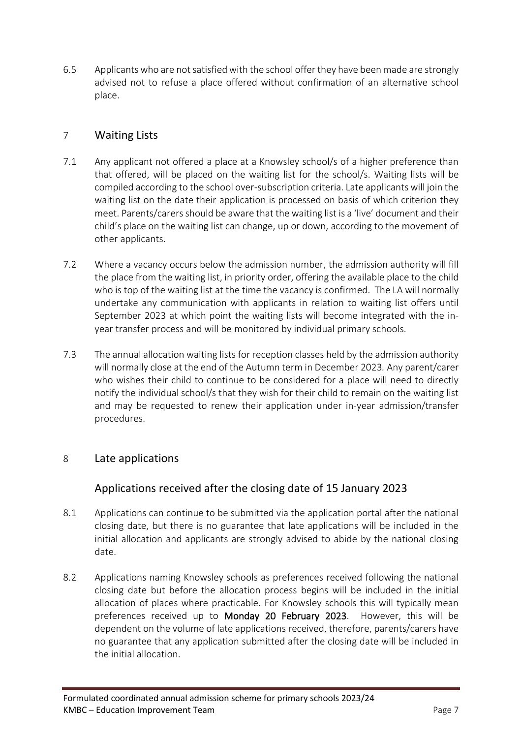6.5 Applicants who are not satisfied with the school offer they have been made are strongly advised not to refuse a place offered without confirmation of an alternative school place.

### 7 Waiting Lists

- 7.1 Any applicant not offered a place at a Knowsley school/s of a higher preference than that offered, will be placed on the waiting list for the school/s. Waiting lists will be compiled according to the school over-subscription criteria. Late applicants will join the waiting list on the date their application is processed on basis of which criterion they meet. Parents/carers should be aware that the waiting list is a 'live' document and their child's place on the waiting list can change, up or down, according to the movement of other applicants.
- 7.2 Where a vacancy occurs below the admission number, the admission authority will fill the place from the waiting list, in priority order, offering the available place to the child who is top of the waiting list at the time the vacancy is confirmed. The LA will normally undertake any communication with applicants in relation to waiting list offers until September 2023 at which point the waiting lists will become integrated with the inyear transfer process and will be monitored by individual primary schools.
- 7.3 The annual allocation waiting lists for reception classes held by the admission authority will normally close at the end of the Autumn term in December 2023*.* Any parent/carer who wishes their child to continue to be considered for a place will need to directly notify the individual school/s that they wish for their child to remain on the waiting list and may be requested to renew their application under in-year admission/transfer procedures.

### 8 Late applications

### Applications received after the closing date of 15 January 2023

- 8.1 Applications can continue to be submitted via the application portal after the national closing date, but there is no guarantee that late applications will be included in the initial allocation and applicants are strongly advised to abide by the national closing date.
- 8.2 Applications naming Knowsley schools as preferences received following the national closing date but before the allocation process begins will be included in the initial allocation of places where practicable. For Knowsley schools this will typically mean preferences received up to Monday 20 February 2023. However, this will be dependent on the volume of late applications received, therefore, parents/carers have no guarantee that any application submitted after the closing date will be included in the initial allocation.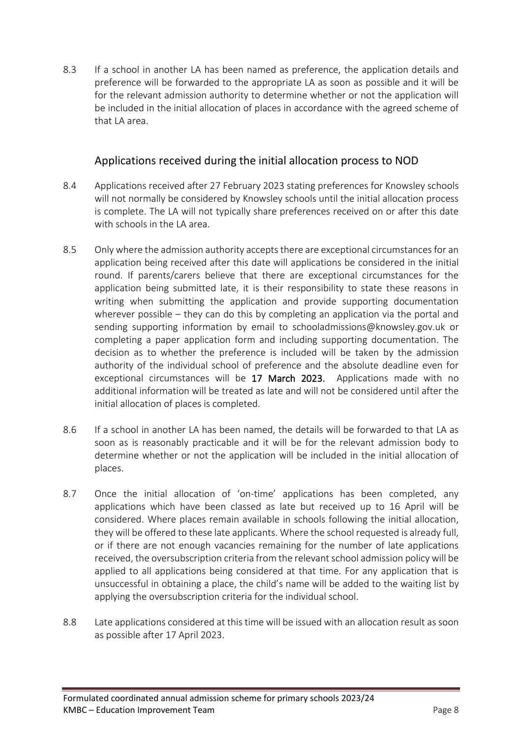8.3 If a school in another LA has been named as preference, the application details and preference will be forwarded to the appropriate LA as soon as possible and it will be for the relevant admission authority to determine whether or not the application will be included in the initial allocation of places in accordance with the agreed scheme of that LA area.

### Applications received during the initial allocation process to NOD

- 8.4 Applications received after 27 February 2023 stating preferences for Knowsley schools will not normally be considered by Knowsley schools until the initial allocation process is complete. The LA will not typically share preferences received on or after this date with schools in the LA area.
- 8.5 Only where the admission authority accepts there are exceptional circumstances for an application being received after this date will applications be considered in the initial round. If parents/carers believe that there are exceptional circumstances for the application being submitted late, it is their responsibility to state these reasons in writing when submitting the application and provide supporting documentation wherever possible – they can do this by completing an application via the portal and sending supporting information by email to [schooladmissions@knowsley.gov.uk](mailto:schooladmissions@knowsley.gov.uk) or completing a paper application form and including supporting documentation. The decision as to whether the preference is included will be taken by the admission authority of the individual school of preference and the absolute deadline even for exceptional circumstances will be 17 March 2023. Applications made with no additional information will be treated as late and will not be considered until after the initial allocation of places is completed.
- 8.6 If a school in another LA has been named, the details will be forwarded to that LA as soon as is reasonably practicable and it will be for the relevant admission body to determine whether or not the application will be included in the initial allocation of places.
- 8.7 Once the initial allocation of 'on-time' applications has been completed, any applications which have been classed as late but received up to 16 April will be considered. Where places remain available in schools following the initial allocation, they will be offered to these late applicants. Where the school requested is already full, or if there are not enough vacancies remaining for the number of late applications received, the oversubscription criteria from the relevant school admission policy will be applied to all applications being considered at that time. For any application that is unsuccessful in obtaining a place, the child's name will be added to the waiting list by applying the oversubscription criteria for the individual school.
- 8.8 Late applications considered at this time will be issued with an allocation result as soon as possible after 17 April 2023.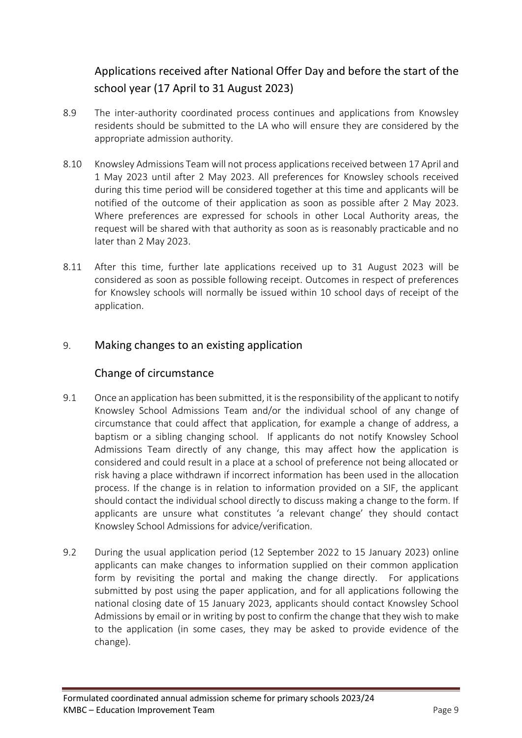## Applications received after National Offer Day and before the start of the school year (17 April to 31 August 2023)

- 8.9 The inter-authority coordinated process continues and applications from Knowsley residents should be submitted to the LA who will ensure they are considered by the appropriate admission authority.
- 8.10 Knowsley Admissions Team will not process applications received between 17 April and 1 May 2023 until after 2 May 2023. All preferences for Knowsley schools received during this time period will be considered together at this time and applicants will be notified of the outcome of their application as soon as possible after 2 May 2023. Where preferences are expressed for schools in other Local Authority areas, the request will be shared with that authority as soon as is reasonably practicable and no later than 2 May 2023.
- 8.11 After this time, further late applications received up to 31 August 2023 will be considered as soon as possible following receipt. Outcomes in respect of preferences for Knowsley schools will normally be issued within 10 school days of receipt of the application.

### 9. Making changes to an existing application

### Change of circumstance

- 9.1 Once an application has been submitted, it is the responsibility of the applicant to notify Knowsley School Admissions Team and/or the individual school of any change of circumstance that could affect that application, for example a change of address, a baptism or a sibling changing school. If applicants do not notify Knowsley School Admissions Team directly of any change, this may affect how the application is considered and could result in a place at a school of preference not being allocated or risk having a place withdrawn if incorrect information has been used in the allocation process. If the change is in relation to information provided on a SIF, the applicant should contact the individual school directly to discuss making a change to the form. If applicants are unsure what constitutes 'a relevant change' they should contact Knowsley School Admissions for advice/verification.
- 9.2 During the usual application period (12 September 2022 to 15 January 2023) online applicants can make changes to information supplied on their common application form by revisiting the portal and making the change directly. For applications submitted by post using the paper application, and for all applications following the national closing date of 15 January 2023, applicants should contact Knowsley School Admissions by email or in writing by post to confirm the change that they wish to make to the application (in some cases, they may be asked to provide evidence of the change).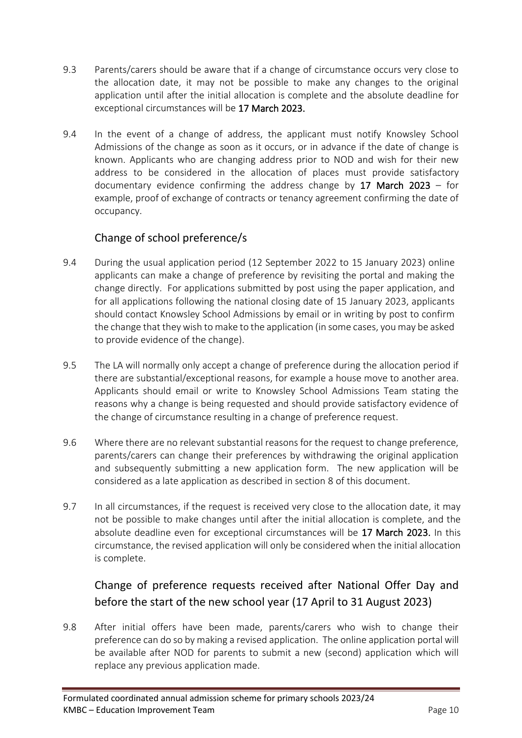- 9.3 Parents/carers should be aware that if a change of circumstance occurs very close to the allocation date, it may not be possible to make any changes to the original application until after the initial allocation is complete and the absolute deadline for exceptional circumstances will be 17 March 2023.
- 9.4 In the event of a change of address, the applicant must notify Knowsley School Admissions of the change as soon as it occurs, or in advance if the date of change is known. Applicants who are changing address prior to NOD and wish for their new address to be considered in the allocation of places must provide satisfactory documentary evidence confirming the address change by 17 March 2023 – for example, proof of exchange of contracts or tenancy agreement confirming the date of occupancy.

### Change of school preference/s

- 9.4 During the usual application period (12 September 2022 to 15 January 2023) online applicants can make a change of preference by revisiting the portal and making the change directly. For applications submitted by post using the paper application, and for all applications following the national closing date of 15 January 2023, applicants should contact Knowsley School Admissions by email or in writing by post to confirm the change that they wish to make to the application (in some cases, you may be asked to provide evidence of the change).
- 9.5 The LA will normally only accept a change of preference during the allocation period if there are substantial/exceptional reasons, for example a house move to another area. Applicants should email or write to Knowsley School Admissions Team stating the reasons why a change is being requested and should provide satisfactory evidence of the change of circumstance resulting in a change of preference request.
- 9.6 Where there are no relevant substantial reasons for the request to change preference, parents/carers can change their preferences by withdrawing the original application and subsequently submitting a new application form. The new application will be considered as a late application as described in section 8 of this document.
- 9.7 In all circumstances, if the request is received very close to the allocation date, it may not be possible to make changes until after the initial allocation is complete, and the absolute deadline even for exceptional circumstances will be 17 March 2023. In this circumstance, the revised application will only be considered when the initial allocation is complete.

## Change of preference requests received after National Offer Day and before the start of the new school year (17 April to 31 August 2023)

9.8 After initial offers have been made, parents/carers who wish to change their preference can do so by making a revised application. The online application portal will be available after NOD for parents to submit a new (second) application which will replace any previous application made.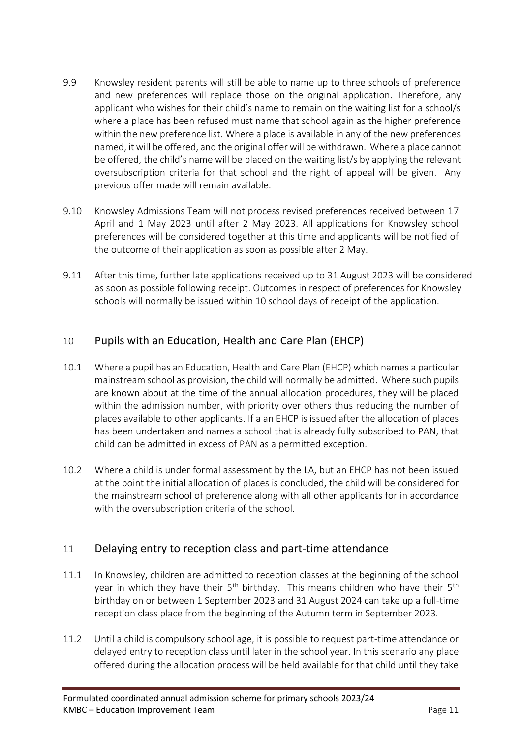- 9.9 Knowsley resident parents will still be able to name up to three schools of preference and new preferences will replace those on the original application. Therefore, any applicant who wishes for their child's name to remain on the waiting list for a school/s where a place has been refused must name that school again as the higher preference within the new preference list. Where a place is available in any of the new preferences named, it will be offered, and the original offer will be withdrawn. Where a place cannot be offered, the child's name will be placed on the waiting list/s by applying the relevant oversubscription criteria for that school and the right of appeal will be given. Any previous offer made will remain available.
- 9.10 Knowsley Admissions Team will not process revised preferences received between 17 April and 1 May 2023 until after 2 May 2023. All applications for Knowsley school preferences will be considered together at this time and applicants will be notified of the outcome of their application as soon as possible after 2 May.
- 9.11 After this time, further late applications received up to 31 August 2023 will be considered as soon as possible following receipt. Outcomes in respect of preferences for Knowsley schools will normally be issued within 10 school days of receipt of the application.

### 10 Pupils with an Education, Health and Care Plan (EHCP)

- 10.1 Where a pupil has an Education, Health and Care Plan (EHCP) which names a particular mainstream school as provision, the child will normally be admitted. Where such pupils are known about at the time of the annual allocation procedures, they will be placed within the admission number, with priority over others thus reducing the number of places available to other applicants. If a an EHCP is issued after the allocation of places has been undertaken and names a school that is already fully subscribed to PAN, that child can be admitted in excess of PAN as a permitted exception.
- 10.2 Where a child is under formal assessment by the LA, but an EHCP has not been issued at the point the initial allocation of places is concluded, the child will be considered for the mainstream school of preference along with all other applicants for in accordance with the oversubscription criteria of the school.

### 11 Delaying entry to reception class and part-time attendance

- 11.1 In Knowsley, children are admitted to reception classes at the beginning of the school year in which they have their  $5<sup>th</sup>$  birthday. This means children who have their  $5<sup>th</sup>$ birthday on or between 1 September 2023 and 31 August 2024 can take up a full-time reception class place from the beginning of the Autumn term in September 2023.
- 11.2 Until a child is compulsory school age, it is possible to request part-time attendance or delayed entry to reception class until later in the school year. In this scenario any place offered during the allocation process will be held available for that child until they take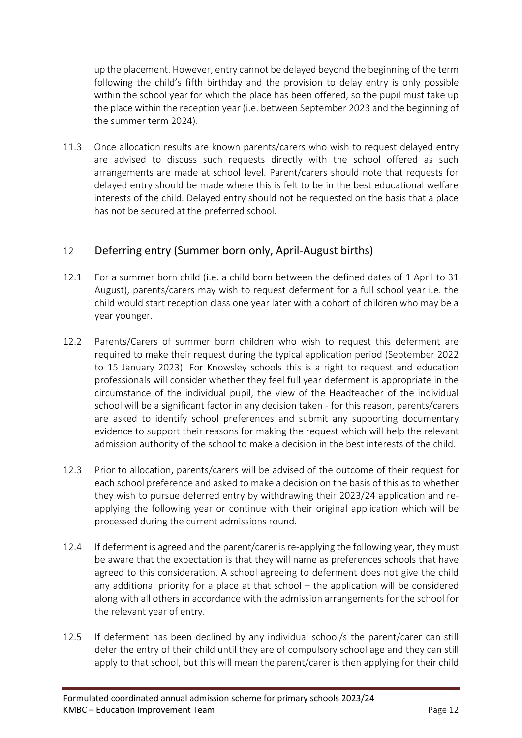up the placement. However, entry cannot be delayed beyond the beginning of the term following the child's fifth birthday and the provision to delay entry is only possible within the school year for which the place has been offered, so the pupil must take up the place within the reception year (i.e. between September 2023 and the beginning of the summer term 2024).

11.3 Once allocation results are known parents/carers who wish to request delayed entry are advised to discuss such requests directly with the school offered as such arrangements are made at school level. Parent/carers should note that requests for delayed entry should be made where this is felt to be in the best educational welfare interests of the child. Delayed entry should not be requested on the basis that a place has not be secured at the preferred school.

### 12 Deferring entry (Summer born only, April-August births)

- 12.1 For a summer born child (i.e. a child born between the defined dates of 1 April to 31 August), parents/carers may wish to request deferment for a full school year i.e. the child would start reception class one year later with a cohort of children who may be a year younger.
- 12.2 Parents/Carers of summer born children who wish to request this deferment are required to make their request during the typical application period (September 2022 to 15 January 2023). For Knowsley schools this is a right to request and education professionals will consider whether they feel full year deferment is appropriate in the circumstance of the individual pupil, the view of the Headteacher of the individual school will be a significant factor in any decision taken - for this reason, parents/carers are asked to identify school preferences and submit any supporting documentary evidence to support their reasons for making the request which will help the relevant admission authority of the school to make a decision in the best interests of the child.
- 12.3 Prior to allocation, parents/carers will be advised of the outcome of their request for each school preference and asked to make a decision on the basis of this as to whether they wish to pursue deferred entry by withdrawing their 2023/24 application and reapplying the following year or continue with their original application which will be processed during the current admissions round.
- 12.4 If deferment is agreed and the parent/carer is re-applying the following year, they must be aware that the expectation is that they will name as preferences schools that have agreed to this consideration. A school agreeing to deferment does not give the child any additional priority for a place at that school – the application will be considered along with all others in accordance with the admission arrangements for the school for the relevant year of entry.
- 12.5 If deferment has been declined by any individual school/s the parent/carer can still defer the entry of their child until they are of compulsory school age and they can still apply to that school, but this will mean the parent/carer is then applying for their child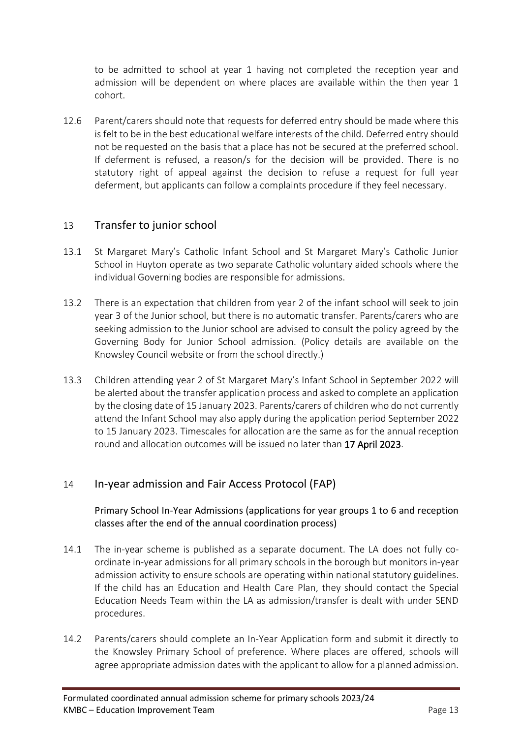to be admitted to school at year 1 having not completed the reception year and admission will be dependent on where places are available within the then year 1 cohort.

12.6 Parent/carers should note that requests for deferred entry should be made where this is felt to be in the best educational welfare interests of the child. Deferred entry should not be requested on the basis that a place has not be secured at the preferred school. If deferment is refused, a reason/s for the decision will be provided. There is no statutory right of appeal against the decision to refuse a request for full year deferment, but applicants can follow a complaints procedure if they feel necessary.

### 13 Transfer to junior school

- 13.1 St Margaret Mary's Catholic Infant School and St Margaret Mary's Catholic Junior School in Huyton operate as two separate Catholic voluntary aided schools where the individual Governing bodies are responsible for admissions.
- 13.2 There is an expectation that children from year 2 of the infant school will seek to join year 3 of the Junior school, but there is no automatic transfer. Parents/carers who are seeking admission to the Junior school are advised to consult the policy agreed by the Governing Body for Junior School admission. (Policy details are available on the Knowsley Council website or from the school directly.)
- 13.3 Children attending year 2 of St Margaret Mary's Infant School in September 2022 will be alerted about the transfer application process and asked to complete an application by the closing date of 15 January 2023. Parents/carers of children who do not currently attend the Infant School may also apply during the application period September 2022 to 15 January 2023. Timescales for allocation are the same as for the annual reception round and allocation outcomes will be issued no later than 17 April 2023.

#### 14 In-year admission and Fair Access Protocol (FAP)

Primary School In-Year Admissions (applications for year groups 1 to 6 and reception classes after the end of the annual coordination process)

- 14.1 The in-year scheme is published as a separate document. The LA does not fully coordinate in-year admissions for all primary schools in the borough but monitors in-year admission activity to ensure schools are operating within national statutory guidelines. If the child has an Education and Health Care Plan, they should contact the Special Education Needs Team within the LA as admission/transfer is dealt with under SEND procedures.
- 14.2 Parents/carers should complete an In-Year Application form and submit it directly to the Knowsley Primary School of preference. Where places are offered, schools will agree appropriate admission dates with the applicant to allow for a planned admission.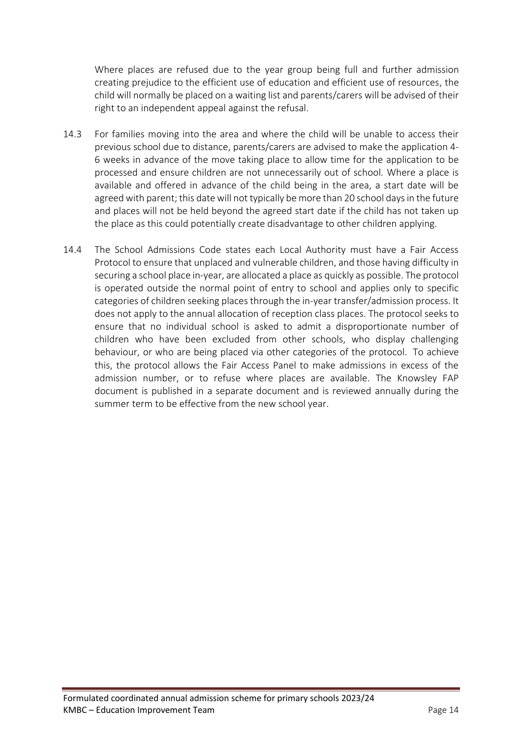Where places are refused due to the year group being full and further admission creating prejudice to the efficient use of education and efficient use of resources, the child will normally be placed on a waiting list and parents/carers will be advised of their right to an independent appeal against the refusal.

- 14.3 For families moving into the area and where the child will be unable to access their previous school due to distance, parents/carers are advised to make the application 4- 6 weeks in advance of the move taking place to allow time for the application to be processed and ensure children are not unnecessarily out of school. Where a place is available and offered in advance of the child being in the area, a start date will be agreed with parent; this date will not typically be more than 20 school days in the future and places will not be held beyond the agreed start date if the child has not taken up the place as this could potentially create disadvantage to other children applying.
- 14.4 The School Admissions Code states each Local Authority must have a Fair Access Protocol to ensure that unplaced and vulnerable children, and those having difficulty in securing a school place in-year, are allocated a place as quickly as possible. The protocol is operated outside the normal point of entry to school and applies only to specific categories of children seeking places through the in-year transfer/admission process. It does not apply to the annual allocation of reception class places. The protocol seeks to ensure that no individual school is asked to admit a disproportionate number of children who have been excluded from other schools, who display challenging behaviour, or who are being placed via other categories of the protocol. To achieve this, the protocol allows the Fair Access Panel to make admissions in excess of the admission number, or to refuse where places are available. The Knowsley FAP document is published in a separate document and is reviewed annually during the summer term to be effective from the new school year.